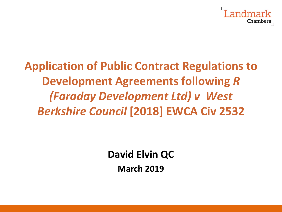

# **Application of Public Contract Regulations to Development Agreements following** *R (Faraday Development Ltd) v West Berkshire Council* **[2018] EWCA Civ 2532**

**David Elvin QC**

**March 2019**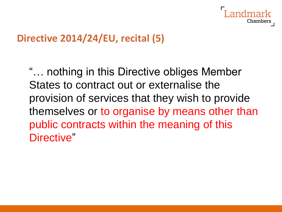

## **Directive 2014/24/EU, recital (5)**

"… nothing in this Directive obliges Member States to contract out or externalise the provision of services that they wish to provide themselves or to organise by means other than public contracts within the meaning of this Directive"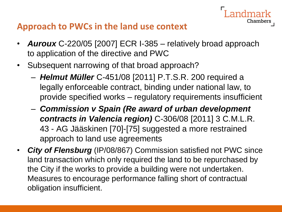#### **Approach to PWCs in the land use context**

- *Auroux* C-220/05 [2007] ECR I-385 relatively broad approach to application of the directive and PWC
- Subsequent narrowing of that broad approach?
	- *Helmut Müller* C-451/08 [2011] P.T.S.R. 200 required a legally enforceable contract, binding under national law, to provide specified works – regulatory requirements insufficient

- *Commission v Spain (Re award of urban development contracts in Valencia region)* C-306/08 [2011] 3 C.M.L.R. 43 - AG Jääskinen [70]-[75] suggested a more restrained approach to land use agreements
- *City of Flensburg* (IP/08/867) Commission satisfied not PWC since land transaction which only required the land to be repurchased by the City if the works to provide a building were not undertaken. Measures to encourage performance falling short of contractual obligation insufficient.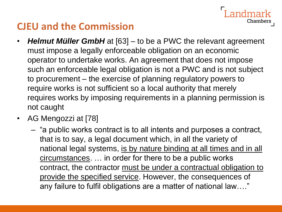# **CJEU and the Commission**

• *Helmut Müller GmbH* at [63] – to be a PWC the relevant agreement must impose a legally enforceable obligation on an economic operator to undertake works. An agreement that does not impose such an enforceable legal obligation is not a PWC and is not subject to procurement – the exercise of planning regulatory powers to require works is not sufficient so a local authority that merely requires works by imposing requirements in a planning permission is not caught

ndmark

- AG Mengozzi at [78]
	- "a public works contract is to all intents and purposes a contract, that is to say, a legal document which, in all the variety of national legal systems, is by nature binding at all times and in all circumstances. … in order for there to be a public works contract, the contractor must be under a contractual obligation to provide the specified service. However, the consequences of any failure to fulfil obligations are a matter of national law…."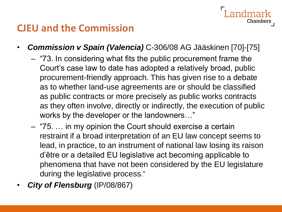### **CJEU and the Commission**

- *Commission v Spain (Valencia)* C-306/08 AG Jääskinen [70]-[75]
	- "73. In considering what fits the public procurement frame the Court's case law to date has adopted a relatively broad, public procurement-friendly approach. This has given rise to a debate as to whether land-use agreements are or should be classified as public contracts or more precisely as public works contracts as they often involve, directly or indirectly, the execution of public works by the developer or the landowners…"

- "75. … in my opinion the Court should exercise a certain restraint if a broad interpretation of an EU law concept seems to lead, in practice, to an instrument of national law losing its raison d'être or a detailed EU legislative act becoming applicable to phenomena that have not been considered by the EU legislature during the legislative process."
- *City of Flensburg* (IP/08/867)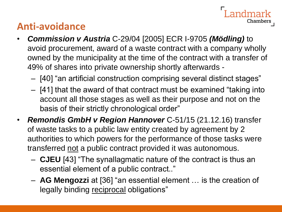# **Anti-avoidance**

• *Commission v Austria* C-29/04 [2005] ECR I-9705 *(Mödling)* to avoid procurement, award of a waste contract with a company wholly owned by the municipality at the time of the contract with a transfer of 49% of shares into private ownership shortly afterwards -

- [40] "an artificial construction comprising several distinct stages"
- [41] that the award of that contract must be examined "taking into account all those stages as well as their purpose and not on the basis of their strictly chronological order"
- *Remondis GmbH v Region Hannover* C-51/15 (21.12.16) transfer of waste tasks to a public law entity created by agreement by 2 authorities to which powers for the performance of those tasks were transferred not a public contract provided it was autonomous.
	- **CJEU** [43] "The synallagmatic nature of the contract is thus an essential element of a public contract.."
	- **AG Mengozzi** at [36] "an essential element … is the creation of legally binding reciprocal obligations"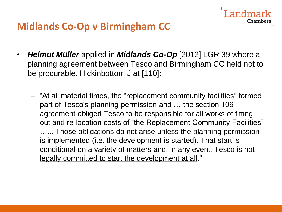• *Helmut Müller* applied in *Midlands Co-Op* [2012] LGR 39 where a planning agreement between Tesco and Birmingham CC held not to be procurable. Hickinbottom J at [110]:

Landmark

Chambers

– "At all material times, the "replacement community facilities" formed part of Tesco's planning permission and … the section 106 agreement obliged Tesco to be responsible for all works of fitting out and re-location costs of "the Replacement Community Facilities" ...... Those obligations do not arise unless the planning permission is implemented (i.e. the development is started). That start is conditional on a variety of matters and, in any event, Tesco is not legally committed to start the development at all."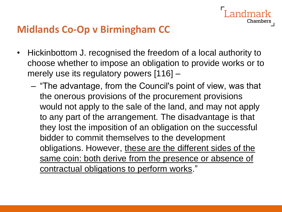• Hickinbottom J. recognised the freedom of a local authority to choose whether to impose an obligation to provide works or to merely use its regulatory powers [116] –

Chambers

– "The advantage, from the Council's point of view, was that the onerous provisions of the procurement provisions would not apply to the sale of the land, and may not apply to any part of the arrangement. The disadvantage is that they lost the imposition of an obligation on the successful bidder to commit themselves to the development obligations. However, these are the different sides of the same coin: both derive from the presence or absence of contractual obligations to perform works."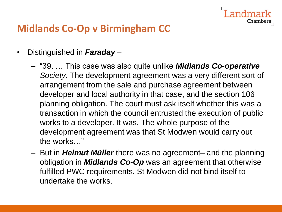- Distinguished in *Faraday* 
	- "39. … This case was also quite unlike *Midlands Co-operative Society*. The development agreement was a very different sort of arrangement from the sale and purchase agreement between developer and local authority in that case, and the section 106 planning obligation. The court must ask itself whether this was a transaction in which the council entrusted the execution of public works to a developer. It was. The whole purpose of the development agreement was that St Modwen would carry out the works…"

Chamber:

– But in *Helmut Müller* there was no agreement– and the planning obligation in *Midlands Co-Op* was an agreement that otherwise fulfilled PWC requirements. St Modwen did not bind itself to undertake the works.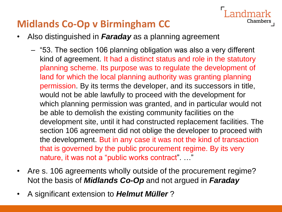- Also distinguished in *Faraday* as a planning agreement
	- "53. The section 106 planning obligation was also a very different kind of agreement. It had a distinct status and role in the statutory planning scheme. Its purpose was to regulate the development of land for which the local planning authority was granting planning permission. By its terms the developer, and its successors in title, would not be able lawfully to proceed with the development for which planning permission was granted, and in particular would not be able to demolish the existing community facilities on the development site, until it had constructed replacement facilities. The section 106 agreement did not oblige the developer to proceed with the development. But in any case it was not the kind of transaction that is governed by the public procurement regime. By its very nature, it was not a "public works contract"...."

- Are s. 106 agreements wholly outside of the procurement regime? Not the basis of *Midlands Co-Op* and not argued in *Faraday*
- A significant extension to *Helmut Müller* ?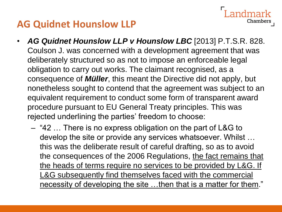# **AG Quidnet Hounslow LLP**

• *AG Quidnet Hounslow LLP v Hounslow LBC* [2013] P.T.S.R. 828. Coulson J. was concerned with a development agreement that was deliberately structured so as not to impose an enforceable legal obligation to carry out works. The claimant recognised, as a consequence of *Müller*, this meant the Directive did not apply, but nonetheless sought to contend that the agreement was subject to an equivalent requirement to conduct some form of transparent award procedure pursuant to EU General Treaty principles. This was rejected underlining the parties' freedom to choose:

Chamber

– "42 … There is no express obligation on the part of L&G to develop the site or provide any services whatsoever. Whilst … this was the deliberate result of careful drafting, so as to avoid the consequences of the 2006 Regulations, the fact remains that the heads of terms require no services to be provided by L&G. If L&G subsequently find themselves faced with the commercial necessity of developing the site …then that is a matter for them."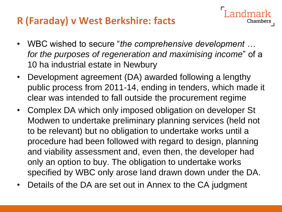# **R (Faraday) v West Berkshire: facts**

• WBC wished to secure "*the comprehensive development … for the purposes of regeneration and maximising income*" of a 10 ha industrial estate in Newbury

- Development agreement (DA) awarded following a lengthy public process from 2011-14, ending in tenders, which made it clear was intended to fall outside the procurement regime
- Complex DA which only imposed obligation on developer St Modwen to undertake preliminary planning services (held not to be relevant) but no obligation to undertake works until a procedure had been followed with regard to design, planning and viability assessment and, even then, the developer had only an option to buy. The obligation to undertake works specified by WBC only arose land drawn down under the DA.
- Details of the DA are set out in Annex to the CA judgment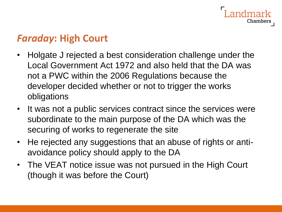# *Faraday***: High Court**

• Holgate J rejected a best consideration challenge under the Local Government Act 1972 and also held that the DA was not a PWC within the 2006 Regulations because the developer decided whether or not to trigger the works obligations

- It was not a public services contract since the services were subordinate to the main purpose of the DA which was the securing of works to regenerate the site
- He rejected any suggestions that an abuse of rights or antiavoidance policy should apply to the DA
- The VEAT notice issue was not pursued in the High Court (though it was before the Court)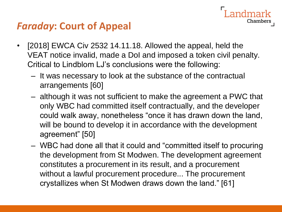• [2018] EWCA Civ 2532 14.11.18. Allowed the appeal, held the VEAT notice invalid, made a DoI and imposed a token civil penalty. Critical to Lindblom LJ's conclusions were the following:

- It was necessary to look at the substance of the contractual arrangements [60]
- although it was not sufficient to make the agreement a PWC that only WBC had committed itself contractually, and the developer could walk away, nonetheless "once it has drawn down the land, will be bound to develop it in accordance with the development agreement" [50]
- WBC had done all that it could and "committed itself to procuring the development from St Modwen. The development agreement constitutes a procurement in its result, and a procurement without a lawful procurement procedure... The procurement crystallizes when St Modwen draws down the land." [61]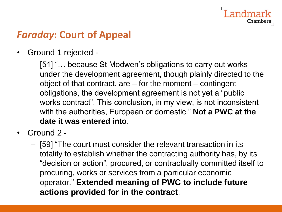#### ndmark Chambers

# *Faraday***: Court of Appeal**

- Ground 1 rejected
	- [51] "… because St Modwen's obligations to carry out works under the development agreement, though plainly directed to the object of that contract, are – for the moment – contingent obligations, the development agreement is not yet a "public works contract". This conclusion, in my view, is not inconsistent with the authorities, European or domestic." **Not a PWC at the date it was entered into**.
- Ground 2
	- [59] "The court must consider the relevant transaction in its totality to establish whether the contracting authority has, by its "decision or action", procured, or contractually committed itself to procuring, works or services from a particular economic operator." **Extended meaning of PWC to include future actions provided for in the contract**.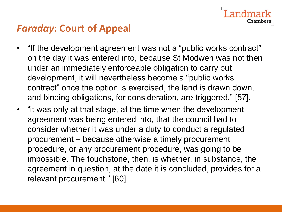• "If the development agreement was not a "public works contract" on the day it was entered into, because St Modwen was not then under an immediately enforceable obligation to carry out development, it will nevertheless become a "public works contract" once the option is exercised, the land is drawn down, and binding obligations, for consideration, are triggered." [57].

Chamber:

• "it was only at that stage, at the time when the development agreement was being entered into, that the council had to consider whether it was under a duty to conduct a regulated procurement – because otherwise a timely procurement procedure, or any procurement procedure, was going to be impossible. The touchstone, then, is whether, in substance, the agreement in question, at the date it is concluded, provides for a relevant procurement." [60]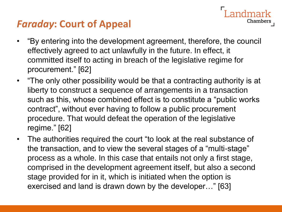• "By entering into the development agreement, therefore, the council effectively agreed to act unlawfully in the future. In effect, it committed itself to acting in breach of the legislative regime for procurement." [62]

- "The only other possibility would be that a contracting authority is at liberty to construct a sequence of arrangements in a transaction such as this, whose combined effect is to constitute a "public works contract", without ever having to follow a public procurement procedure. That would defeat the operation of the legislative regime." [62]
- The authorities required the court "to look at the real substance of the transaction, and to view the several stages of a "multi-stage" process as a whole. In this case that entails not only a first stage, comprised in the development agreement itself, but also a second stage provided for in it, which is initiated when the option is exercised and land is drawn down by the developer…" [63]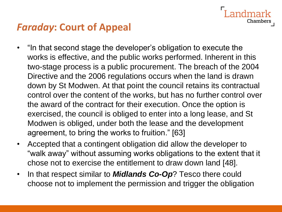• "In that second stage the developer's obligation to execute the works is effective, and the public works performed. Inherent in this two-stage process is a public procurement. The breach of the 2004 Directive and the 2006 regulations occurs when the land is drawn down by St Modwen. At that point the council retains its contractual control over the content of the works, but has no further control over the award of the contract for their execution. Once the option is exercised, the council is obliged to enter into a long lease, and St Modwen is obliged, under both the lease and the development agreement, to bring the works to fruition." [63]

dmark

- Accepted that a contingent obligation did allow the developer to "walk away" without assuming works obligations to the extent that it chose not to exercise the entitlement to draw down land [48].
- In that respect similar to *Midlands Co-Op*? Tesco there could choose not to implement the permission and trigger the obligation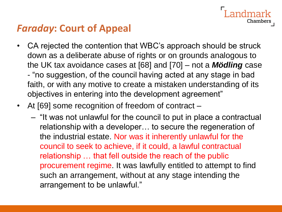• CA rejected the contention that WBC's approach should be struck down as a deliberate abuse of rights or on grounds analogous to the UK tax avoidance cases at [68] and [70] – not a *Mödling* case - "no suggestion, of the council having acted at any stage in bad faith, or with any motive to create a mistaken understanding of its objectives in entering into the development agreement"

andmark

- At [69] some recognition of freedom of contract
	- "It was not unlawful for the council to put in place a contractual relationship with a developer… to secure the regeneration of the industrial estate. Nor was it inherently unlawful for the council to seek to achieve, if it could, a lawful contractual relationship … that fell outside the reach of the public procurement regime. It was lawfully entitled to attempt to find such an arrangement, without at any stage intending the arrangement to be unlawful."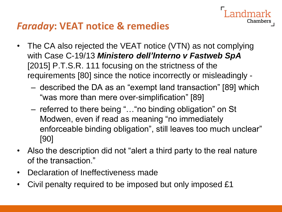## *Faraday***: VEAT notice & remedies**

- The CA also rejected the VEAT notice (VTN) as not complying with Case C-19/13 *Ministero dell'Interno v Fastweb SpA* [2015] P.T.S.R. 111 focusing on the strictness of the requirements [80] since the notice incorrectly or misleadingly -
	- described the DA as an "exempt land transaction" [89] which "was more than mere over-simplification" [89]

- referred to there being "…"no binding obligation" on St Modwen, even if read as meaning "no immediately enforceable binding obligation", still leaves too much unclear" [90]
- Also the description did not "alert a third party to the real nature of the transaction."
- Declaration of Ineffectiveness made
- Civil penalty required to be imposed but only imposed £1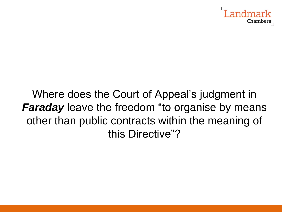

Where does the Court of Appeal's judgment in *Faraday* leave the freedom "to organise by means other than public contracts within the meaning of this Directive"?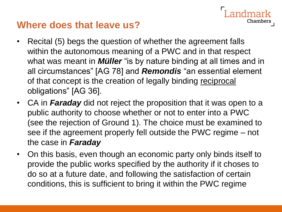# **Where does that leave us?**

• Recital (5) begs the question of whether the agreement falls within the autonomous meaning of a PWC and in that respect what was meant in *Müller* "is by nature binding at all times and in all circumstances" [AG 78] and *Remondis* "an essential element of that concept is the creation of legally binding reciprocal obligations" [AG 36].

- CA in *Faraday* did not reject the proposition that it was open to a public authority to choose whether or not to enter into a PWC (see the rejection of Ground 1). The choice must be examined to see if the agreement properly fell outside the PWC regime – not the case in *Faraday*
- On this basis, even though an economic party only binds itself to provide the public works specified by the authority if it choses to do so at a future date, and following the satisfaction of certain conditions, this is sufficient to bring it within the PWC regime